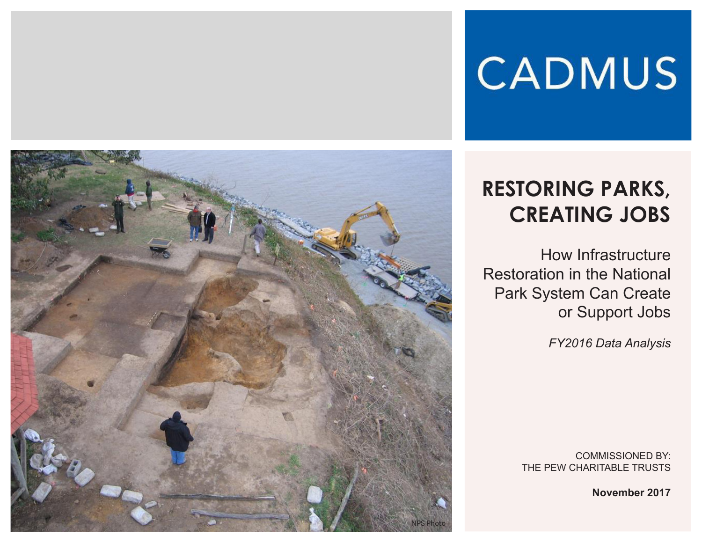# **CADMUS**



# **RESTORING PARKS, CREATING JOBS**

How Infrastructure Restoration in the National Park System Can Create or Support Jobs

*FY2016 Data Analysis*

COMMISSIONED BY: THE PEW CHARITABLE TRUSTS

**November 2017**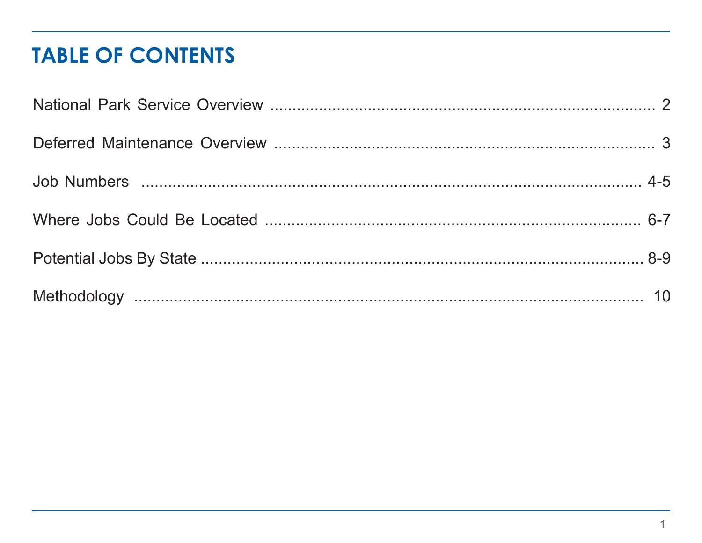#### **TABLE OF CONTENTS**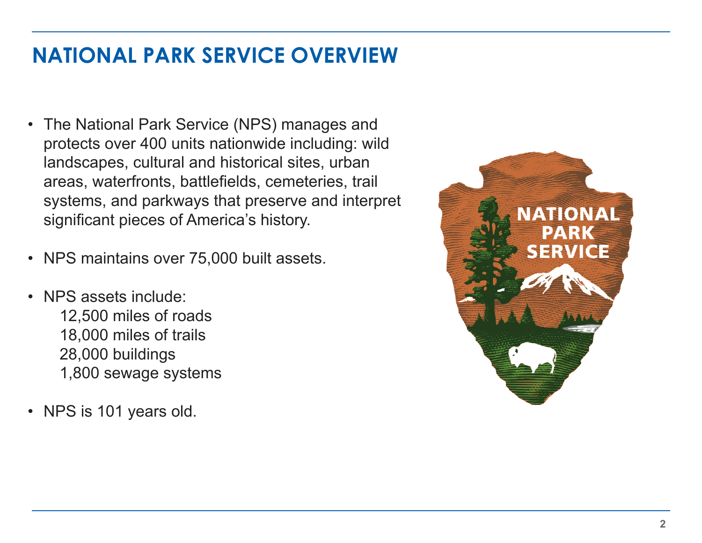#### **NATIONAL PARK SERVICE OVERVIEW**

- The National Park Service (NPS) manages and protects over 400 units nationwide including: wild landscapes, cultural and historical sites, urban areas, waterfronts, battlefields, cemeteries, trail systems, and parkways that preserve and interpret significant pieces of America's history.
- NPS maintains over 75,000 built assets.
- NPS assets include: 12,500 miles of roads 18,000 miles of trails 28,000 buildings
	- 1,800 sewage systems
- NPS is 101 years old.

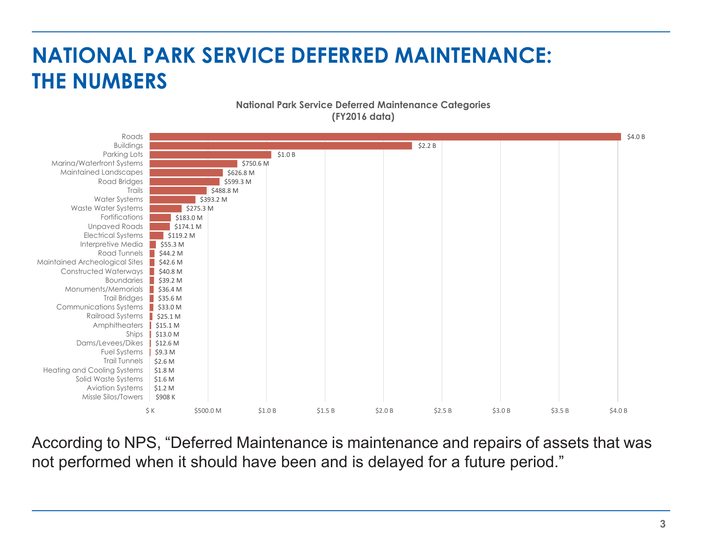# **NATIONAL PARK SERVICE DEFERRED MAINTENANCE: THE NUMBERS**

#### **National Park Service Deferred Maintenance Categories (FY2016 data)**



According to NPS, "Deferred Maintenance is maintenance and repairs of assets that was not performed when it should have been and is delayed for a future period."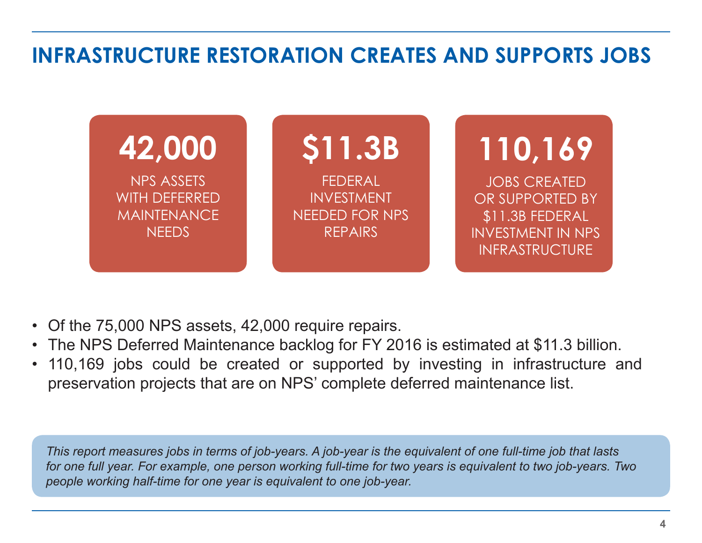#### **INFRASTRUCTURE RESTORATION CREATES AND SUPPORTS JOBS**



- Of the 75,000 NPS assets, 42,000 require repairs.
- The NPS Deferred Maintenance backlog for FY 2016 is estimated at \$11.3 billion.
- 110,169 jobs could be created or supported by investing in infrastructure and preservation projects that are on NPS' complete deferred maintenance list.

*This report measures jobs in terms of job-years. A job-year is the equivalent of one full-time job that lasts for one full year. For example, one person working full-time for two years is equivalent to two job-years. Two people working half-time for one year is equivalent to one job-year.*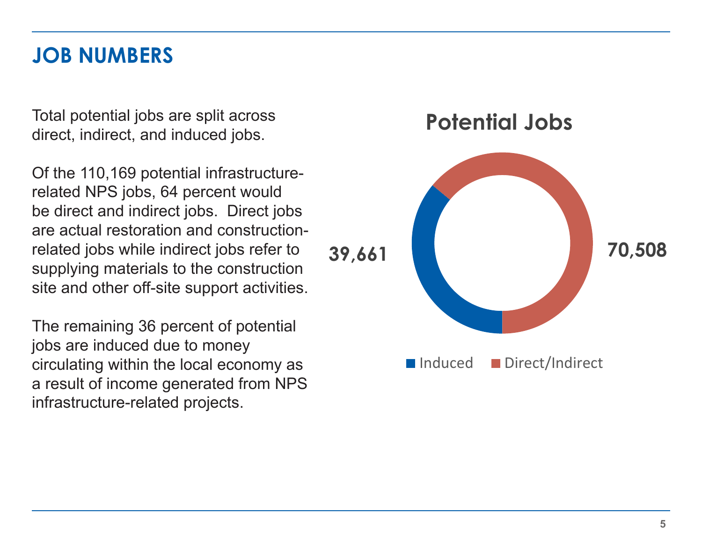#### **JOB NUMBERS**

Total potential jobs are split across direct, indirect, and induced jobs.

Of the 110,169 potential infrastructurerelated NPS jobs, 64 percent would be direct and indirect jobs. Direct jobs are actual restoration and constructionrelated jobs while indirect jobs refer to supplying materials to the construction site and other off-site support activities.

The remaining 36 percent of potential jobs are induced due to money circulating within the local economy as a result of income generated from NPS infrastructure-related projects.

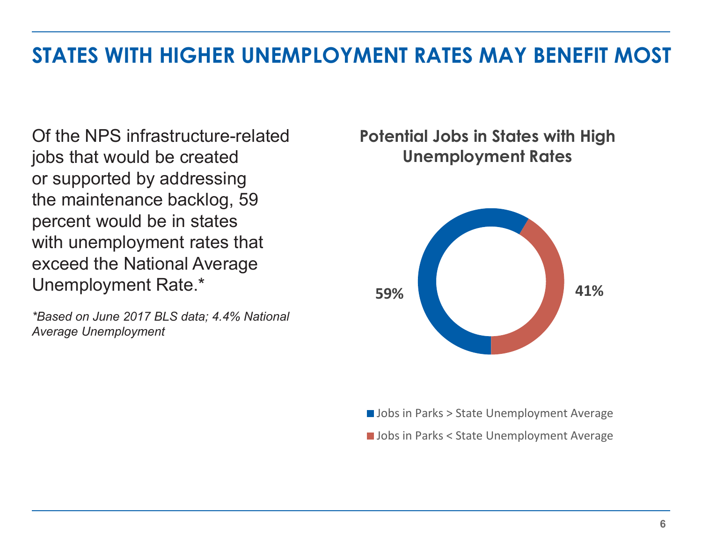#### **STATES WITH HIGHER UNEMPLOYMENT RATES MAY BENEFIT MOST**

Of the NPS infrastructure-related jobs that would be created or supported by addressing the maintenance backlog, 59 percent would be in states with unemployment rates that exceed the National Average Unemployment Rate.\*

*\*Based on June 2017 BLS data; 4.4% National Average Unemployment*

#### **Potential Jobs in States with High Unemployment Rates**



**Jobs in Parks > State Unemployment Average** 

**Jobs in Parks < State Unemployment Average**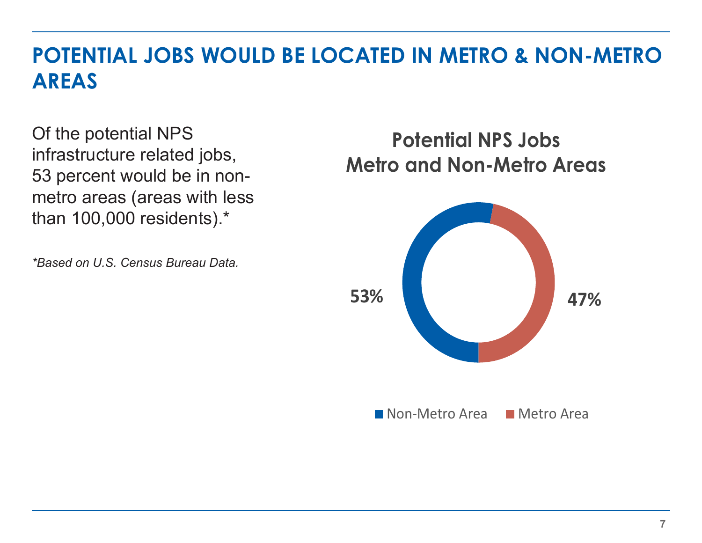#### **POTENTIAL JOBS WOULD BE LOCATED IN METRO & NON-METRO AREAS**

Of the potential NPS infrastructure related jobs, 53 percent would be in nonmetro areas (areas with less than 100,000 residents).\*

*\*Based on U.S. Census Bureau Data.*

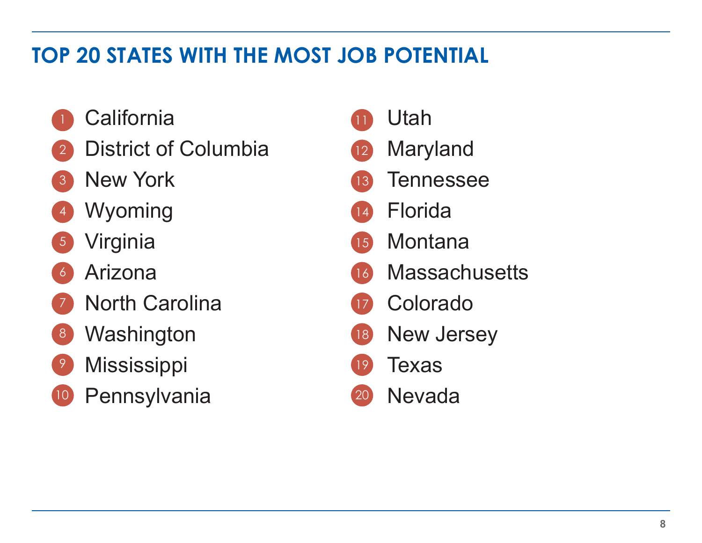# **TOP 20 STATES WITH THE MOST JOB POTENTIAL**

- **California**
- District of Columbia 2
- New York 3
- Wyoming 4
- Virginia 5
- Arizona 6
- North Carolina 7
- **Washington** 8
- **Mississippi** 9
- Pennsylvania 10

Utah Maryland **Tennessee** Florida **Montana Massachusetts** Colorado New Jersey Texas Nevada 11 12 13 14 15 16 17 18  $(19)$ 20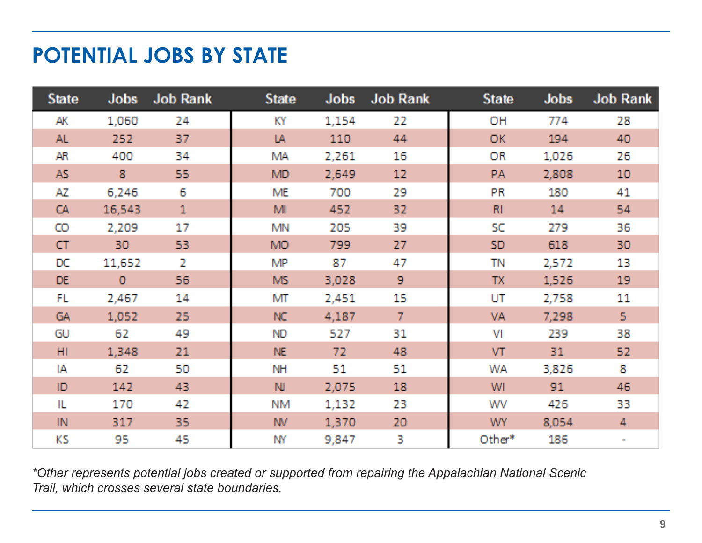#### **POTENTIAL JOBS BY STATE**

| <b>State</b> | <b>Jobs</b>  | Job Rank     | <b>State</b> | <b>Jobs</b> | Job Rank        | <b>State</b>   | <b>Jobs</b> | <b>Job Rank</b> |
|--------------|--------------|--------------|--------------|-------------|-----------------|----------------|-------------|-----------------|
| AK           | 1,060        | 24           | KY.          | 1,154       | 22              | OH             | 774         | 28              |
| AL.          | 252          | 37           | IA           | 110         | 44              | OK.            | 194         | 40              |
| AR           | 400          | 34           | <b>MA</b>    | 2,261       | 16              | OR             | 1,026       | 26              |
| AS.          | 8.           | 55           | MD.          | 2,649       | 12 <sub>1</sub> | PA.            | 2,808       | 10              |
| AZ.          | 6,246        | 6.           | <b>ME</b>    | 700         | 29              | PR             | 180         | 41              |
| CA.          | 16,543       | $\mathbf{1}$ | MI.          | 452         | 32              | R <sub>1</sub> | 14          | 54              |
| $\circ$      | 2,209        | 17           | <b>MN</b>    | 205         | 39              | SC             | 279         | 36              |
| CT           | 30           | 53.          | MO.          | 799         | 27              | SD             | 618         | 30.             |
| DC           | 11,652       | $\mathbf{Z}$ | <b>MP</b>    | 87          | 47              | TN             | 2,572       | 13              |
| DE.          | $\mathbf{0}$ | 56.          | MS.          | 3,028       | $\mathbf{Q}$    | TX.            | 1,526       | 19              |
| FL.          | 2,467        | 14           | MT           | 2,451       | 15              | UT             | 2,758       | 11              |
| GA.          | 1,052        | 25.          | NC           | 4,187       | 7.              | VA.            | 7,298       | 5.              |
| GU           | 62           | 49           | ND.          | 527         | 31              | M              | 239         | 38              |
| HI.          | 1,348        | 21           | NE.          | 72          | 48              | VT.            | 31          | 52.             |
| IA.          | 62           | 50           | <b>NH</b>    | 51          | 51              | <b>WA</b>      | 3,826       | 8               |
| ID.          | 142          | 43           | NJ.          | 2,075       | 18              | <b>WI</b>      | 91          | 46              |
| IL.          | 170          | 42           | <b>NM</b>    | 1,132       | 23              | WV             | 426         | 33              |
| IN           | 317          | 35.          | NV.          | 1,370       | 20              | WY.            | 8,054       | 4               |
| KS.          | 95.          | 45           | <b>NY</b>    | 9,847       | 3               | Other*         | 186         |                 |

*\*Other represents potential jobs created or supported from repairing the Appalachian National Scenic Trail, which crosses several state boundaries.*